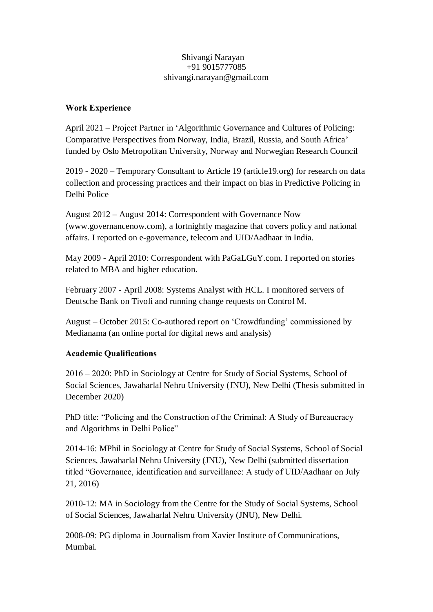#### Shivangi Narayan +91 9015777085 shivangi.narayan@gmail.com

### **Work Experience**

April 2021 – Project Partner in 'Algorithmic Governance and Cultures of Policing: Comparative Perspectives from Norway, India, Brazil, Russia, and South Africa' funded by Oslo Metropolitan University, Norway and Norwegian Research Council

2019 - 2020 – Temporary Consultant to Article 19 (article19.org) for research on data collection and processing practices and their impact on bias in Predictive Policing in Delhi Police

August 2012 – August 2014: Correspondent with Governance Now (www.governancenow.com), a fortnightly magazine that covers policy and national affairs. I reported on e-governance, telecom and UID/Aadhaar in India.

May 2009 - April 2010: Correspondent with PaGaLGuY.com. I reported on stories related to MBA and higher education.

February 2007 - April 2008: Systems Analyst with HCL. I monitored servers of Deutsche Bank on Tivoli and running change requests on Control M.

August – October 2015: Co-authored report on 'Crowdfunding' commissioned by Medianama (an online portal for digital news and analysis)

# **Academic Qualifications**

2016 – 2020: PhD in Sociology at Centre for Study of Social Systems, School of Social Sciences, Jawaharlal Nehru University (JNU), New Delhi (Thesis submitted in December 2020)

PhD title: "Policing and the Construction of the Criminal: A Study of Bureaucracy and Algorithms in Delhi Police"

2014-16: MPhil in Sociology at Centre for Study of Social Systems, School of Social Sciences, Jawaharlal Nehru University (JNU), New Delhi (submitted dissertation titled "Governance, identification and surveillance: A study of UID/Aadhaar on July 21, 2016)

2010-12: MA in Sociology from the Centre for the Study of Social Systems, School of Social Sciences, Jawaharlal Nehru University (JNU), New Delhi.

2008-09: PG diploma in Journalism from Xavier Institute of Communications, Mumbai.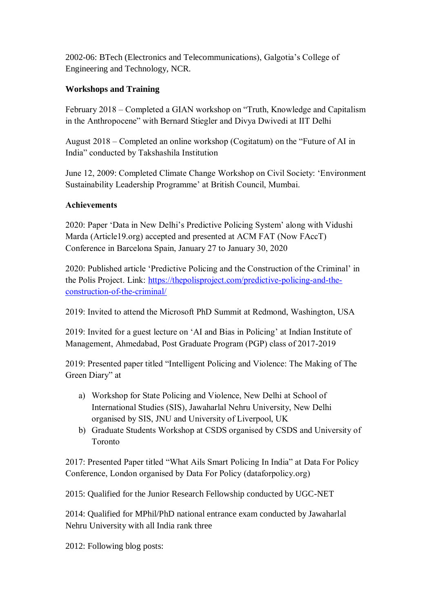2002-06: BTech (Electronics and Telecommunications), Galgotia's College of Engineering and Technology, NCR.

# **Workshops and Training**

February 2018 – Completed a GIAN workshop on "Truth, Knowledge and Capitalism in the Anthropocene" with Bernard Stiegler and Divya Dwivedi at IIT Delhi

August 2018 – Completed an online workshop (Cogitatum) on the "Future of AI in India" conducted by Takshashila Institution

June 12, 2009: Completed Climate Change Workshop on Civil Society: 'Environment Sustainability Leadership Programme' at British Council, Mumbai.

# **Achievements**

2020: Paper 'Data in New Delhi's Predictive Policing System' along with Vidushi Marda (Article19.org) accepted and presented at ACM FAT (Now FAccT) Conference in Barcelona Spain, January 27 to January 30, 2020

2020: Published article 'Predictive Policing and the Construction of the Criminal' in the Polis Project. Link: [https://thepolisproject.com/predictive-policing-and-the](https://thepolisproject.com/predictive-policing-and-the-construction-of-the-criminal/)[construction-of-the-criminal/](https://thepolisproject.com/predictive-policing-and-the-construction-of-the-criminal/)

2019: Invited to attend the Microsoft PhD Summit at Redmond, Washington, USA

2019: Invited for a guest lecture on 'AI and Bias in Policing' at Indian Institute of Management, Ahmedabad, Post Graduate Program (PGP) class of 2017-2019

2019: Presented paper titled "Intelligent Policing and Violence: The Making of The Green Diary" at

- a) Workshop for State Policing and Violence, New Delhi at School of International Studies (SIS), Jawaharlal Nehru University, New Delhi organised by SIS, JNU and University of Liverpool, UK
- b) Graduate Students Workshop at CSDS organised by CSDS and University of Toronto

2017: Presented Paper titled "What Ails Smart Policing In India" at Data For Policy Conference, London organised by Data For Policy (dataforpolicy.org)

2015: Qualified for the Junior Research Fellowship conducted by UGC-NET

2014: Qualified for MPhil/PhD national entrance exam conducted by Jawaharlal Nehru University with all India rank three

2012: Following blog posts: